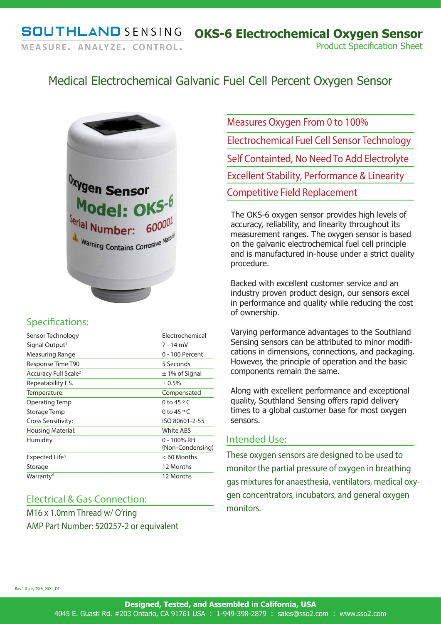# Medical Electrochemical Galvanic Fuel Cell Percent Oxygen Sensor



### Specifications:

| Sensor Technology                | Electrochemical                 |
|----------------------------------|---------------------------------|
| Signal Output <sup>1</sup>       | 7 - 14 mV                       |
| Measuring Range                  | 0 - 100 Percent                 |
| Response Time T90                | 5 Seconds                       |
| Accuracy Full Scale <sup>2</sup> | $\pm$ 1% of Signal              |
| Repeatability F.S.               | ± 0.5%                          |
| Temperature:                     | Compensated                     |
| Operating Temp                   | 0 to 45 $\circ$ C               |
| Storage Temp                     | 0 to 45 $\circ$ C               |
| Cross Sensitivity:               | ISO 80601-2-55                  |
| Housing Material:                | White ABS                       |
| Humidity                         | 0 - 100% RH<br>(Non-Condensing) |
| Expected Life <sup>3</sup>       | $< 60$ Months                   |
| Storage                          | 12 Months                       |
| Warranty <sup>4</sup>            | 12 Months                       |
|                                  |                                 |

#### Electrical & Gas Connection:

M16 x 1.0mm Thread w/ O'ring AMP Part Number: 520257-2 or equivalent Measures Oxygen From 0 to 100% Electrochemical Fuel Cell Sensor Technology Self Containted, No Need To Add Electrolyte Excellent Stability, Performance & Linearity Competitive Field Replacement

The OKS-6 oxygen sensor provides high levels of accuracy, reliability, and linearity throughout its measurement ranges. The oxygen sensor is based on the galvanic electrochemical fuel cell principle and is manufactured in-house under a strict quality procedure.

Backed with excellent customer service and an industry proven product design, our sensors excel in performance and quality while reducing the cost of ownership.

Varying performance advantages to the Southland Sensing sensors can be attributed to minor modifications in dimensions, connections, and packaging. However, the principle of operation and the basic components remain the same.

Along with excellent performance and exceptional quality, Southland Sensing offers rapid delivery times to a global customer base for most oxygen sensors.

#### Intended Use:

These oxygen sensors are designed to be used to monitor the partial pressure of oxygen in breathing gas mixtures for anaesthesia, ventilators, medical oxygen concentrators, incubators, and general oxygen monitors.

Rev 1.0 July 29th\_2021\_DF